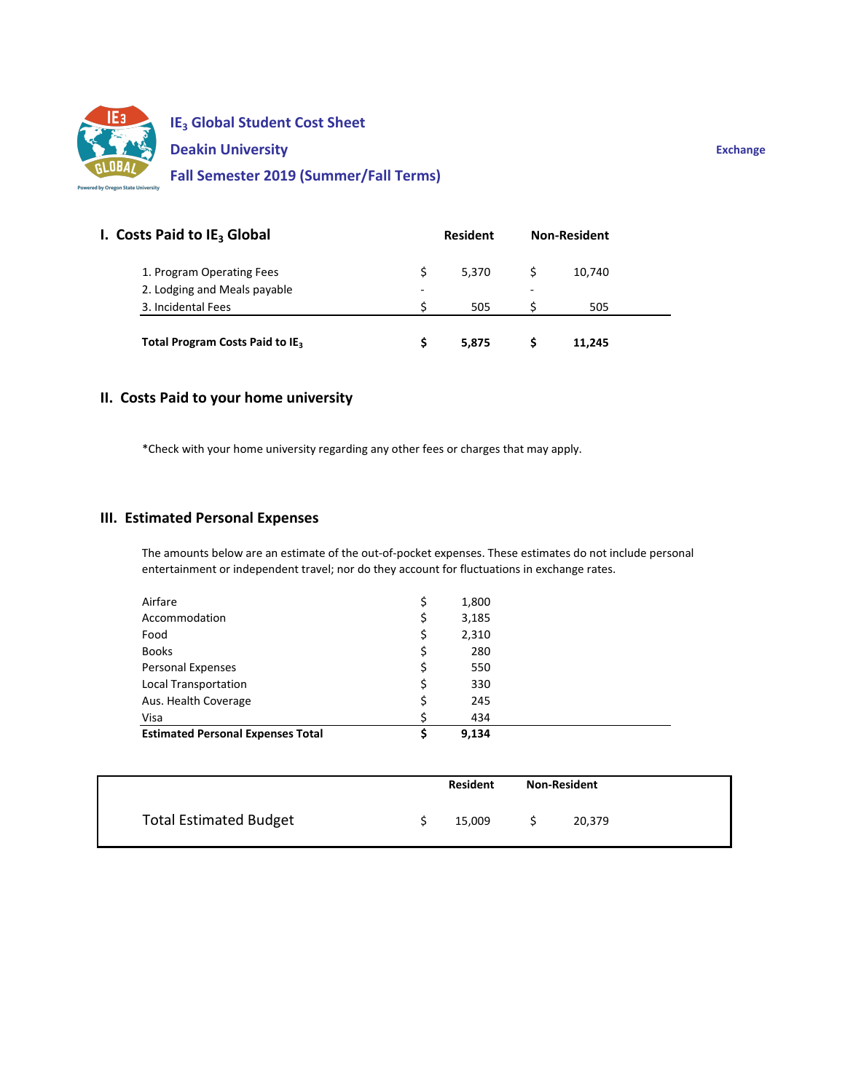

| I. Costs Paid to IE <sub>3</sub> Global | <b>Resident</b> |       | <b>Non-Resident</b> |        |
|-----------------------------------------|-----------------|-------|---------------------|--------|
| 1. Program Operating Fees               |                 | 5.370 |                     | 10.740 |
| 2. Lodging and Meals payable            | -               |       | ۰                   |        |
| 3. Incidental Fees                      |                 | 505   |                     | 505    |

## **II. Costs Paid to your home university**

\*Check with your home university regarding any other fees or charges that may apply.

### **III. Estimated Personal Expenses**

The amounts below are an estimate of the out‐of‐pocket expenses. These estimates do not include personal entertainment or independent travel; nor do they account for fluctuations in exchange rates.

| Airfare                                  | \$ | 1,800 |  |
|------------------------------------------|----|-------|--|
| Accommodation                            | Ş  | 3,185 |  |
| Food                                     | \$ | 2,310 |  |
| <b>Books</b>                             | \$ | 280   |  |
| <b>Personal Expenses</b>                 | \$ | 550   |  |
| Local Transportation                     | \$ | 330   |  |
| Aus. Health Coverage                     | \$ | 245   |  |
| Visa                                     |    | 434   |  |
| <b>Estimated Personal Expenses Total</b> | \$ | 9,134 |  |

|                               | <b>Resident</b> |        | <b>Non-Resident</b> |        |  |
|-------------------------------|-----------------|--------|---------------------|--------|--|
| <b>Total Estimated Budget</b> |                 | 15,009 |                     | 20,379 |  |